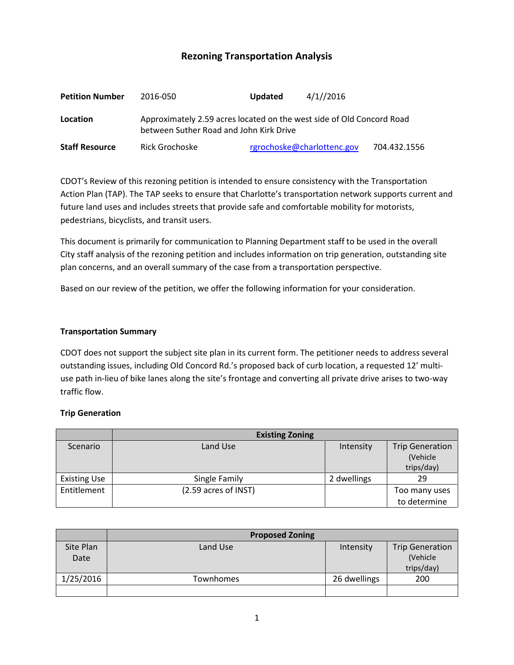# **Rezoning Transportation Analysis**

| <b>Petition Number</b> | 2016-050                                                                                                         | 4/1//2016<br><b>Updated</b> |              |  |  |
|------------------------|------------------------------------------------------------------------------------------------------------------|-----------------------------|--------------|--|--|
| Location               | Approximately 2.59 acres located on the west side of Old Concord Road<br>between Suther Road and John Kirk Drive |                             |              |  |  |
| <b>Staff Resource</b>  | Rick Grochoske                                                                                                   | rgrochoske@charlottenc.gov  | 704.432.1556 |  |  |

CDOT's Review of this rezoning petition is intended to ensure consistency with the Transportation Action Plan (TAP). The TAP seeks to ensure that Charlotte's transportation network supports current and future land uses and includes streets that provide safe and comfortable mobility for motorists, pedestrians, bicyclists, and transit users.

This document is primarily for communication to Planning Department staff to be used in the overall City staff analysis of the rezoning petition and includes information on trip generation, outstanding site plan concerns, and an overall summary of the case from a transportation perspective.

Based on our review of the petition, we offer the following information for your consideration.

#### **Transportation Summary**

CDOT does not support the subject site plan in its current form. The petitioner needs to address several outstanding issues, including Old Concord Rd.'s proposed back of curb location, a requested 12' multiuse path in-lieu of bike lanes along the site's frontage and converting all private drive arises to two-way traffic flow.

### **Trip Generation**

|                     | <b>Existing Zoning</b> |             |                        |
|---------------------|------------------------|-------------|------------------------|
| Scenario            | Land Use               | Intensity   | <b>Trip Generation</b> |
|                     |                        |             | (Vehicle               |
|                     |                        |             | trips/day)             |
| <b>Existing Use</b> | Single Family          | 2 dwellings | 29                     |
| Entitlement         | (2.59 acres of INST)   |             | Too many uses          |
|                     |                        |             | to determine           |

|           | <b>Proposed Zoning</b> |              |                        |
|-----------|------------------------|--------------|------------------------|
| Site Plan | Land Use               | Intensity    | <b>Trip Generation</b> |
| Date      |                        |              | (Vehicle               |
|           |                        |              | trips/day)             |
| 1/25/2016 | Townhomes              | 26 dwellings | 200                    |
|           |                        |              |                        |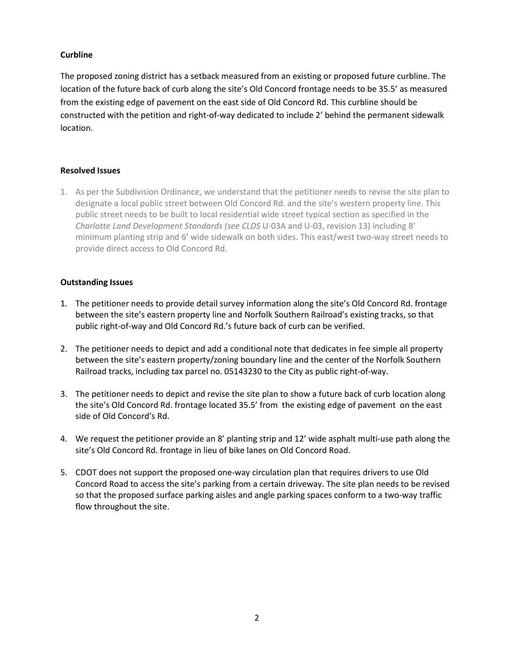## **Curbline**

The proposed zoning district has a setback measured from an existing or proposed future curbline. The location of the future back of curb along the site's Old Concord frontage needs to be 35.5' as measured from the existing edge of pavement on the east side of Old Concord Rd. This curbline should be constructed with the petition and right-of-way dedicated to include 2' behind the permanent sidewalk location.

### **Resolved Issues**

1. As per the Subdivision Ordinance, we understand that the petitioner needs to revise the site plan to designate a local public street between Old Concord Rd. and the site's western property line. This public street needs to be built to local residential wide street typical section as specified in the *Charlotte Land Development Standards (see CLDS* U-03A and U-03, revision 13) including 8' minimum planting strip and 6' wide sidewalk on both sides. This east/west two-way street needs to provide direct access to Old Concord Rd.

## **Outstanding Issues**

- 1. The petitioner needs to provide detail survey information along the site's Old Concord Rd. frontage between the site's eastern property line and Norfolk Southern Railroad's existing tracks, so that public right-of-way and Old Concord Rd.'s future back of curb can be verified.
- 2. The petitioner needs to depict and add a conditional note that dedicates in fee simple all property between the site's eastern property/zoning boundary line and the center of the Norfolk Southern Railroad tracks, including tax parcel no. 05143230 to the City as public right-of-way.
- 3. The petitioner needs to depict and revise the site plan to show a future back of curb location along the site's Old Concord Rd. frontage located 35.5' from the existing edge of pavement on the east side of Old Concord's Rd.
- 4. We request the petitioner provide an 8' planting strip and 12' wide asphalt multi-use path along the site's Old Concord Rd. frontage in lieu of bike lanes on Old Concord Road.
- 5. CDOT does not support the proposed one-way circulation plan that requires drivers to use Old Concord Road to access the site's parking from a certain driveway. The site plan needs to be revised so that the proposed surface parking aisles and angle parking spaces conform to a two-way traffic flow throughout the site.